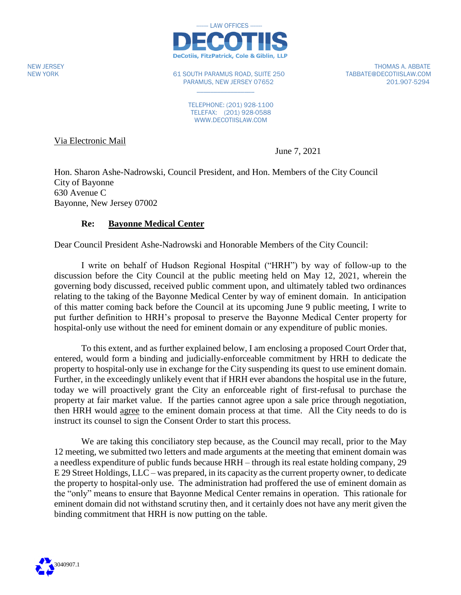

NEW YORK 61 SOUTH PARAMUS ROAD, SUITE 250 TABBATE@DECOTIISLAW.COM PARAMUS, NEW JERSEY 07652 201.907-5294

 $\mathcal{L}_\text{max}$  , where  $\mathcal{L}_\text{max}$ 

NEW JERSEY THOMAS A. ABBATE

TELEPHONE: (201) 928-1100 TELEFAX: (201) 928-0588 WWW.DECOTIISLAW.COM

Via Electronic Mail

June 7, 2021

Hon. Sharon Ashe-Nadrowski, Council President, and Hon. Members of the City Council City of Bayonne 630 Avenue C Bayonne, New Jersey 07002

## **Re: Bayonne Medical Center**

Dear Council President Ashe-Nadrowski and Honorable Members of the City Council:

I write on behalf of Hudson Regional Hospital ("HRH") by way of follow-up to the discussion before the City Council at the public meeting held on May 12, 2021, wherein the governing body discussed, received public comment upon, and ultimately tabled two ordinances relating to the taking of the Bayonne Medical Center by way of eminent domain. In anticipation of this matter coming back before the Council at its upcoming June 9 public meeting, I write to put further definition to HRH's proposal to preserve the Bayonne Medical Center property for hospital-only use without the need for eminent domain or any expenditure of public monies.

To this extent, and as further explained below, I am enclosing a proposed Court Order that, entered, would form a binding and judicially-enforceable commitment by HRH to dedicate the property to hospital-only use in exchange for the City suspending its quest to use eminent domain. Further, in the exceedingly unlikely event that if HRH ever abandons the hospital use in the future, today we will proactively grant the City an enforceable right of first-refusal to purchase the property at fair market value. If the parties cannot agree upon a sale price through negotiation, then HRH would agree to the eminent domain process at that time. All the City needs to do is instruct its counsel to sign the Consent Order to start this process.

We are taking this conciliatory step because, as the Council may recall, prior to the May 12 meeting, we submitted two letters and made arguments at the meeting that eminent domain was a needless expenditure of public funds because HRH – through its real estate holding company, 29 E 29 Street Holdings, LLC – was prepared, in its capacity as the current property owner, to dedicate the property to hospital-only use. The administration had proffered the use of eminent domain as the "only" means to ensure that Bayonne Medical Center remains in operation. This rationale for eminent domain did not withstand scrutiny then, and it certainly does not have any merit given the binding commitment that HRH is now putting on the table.

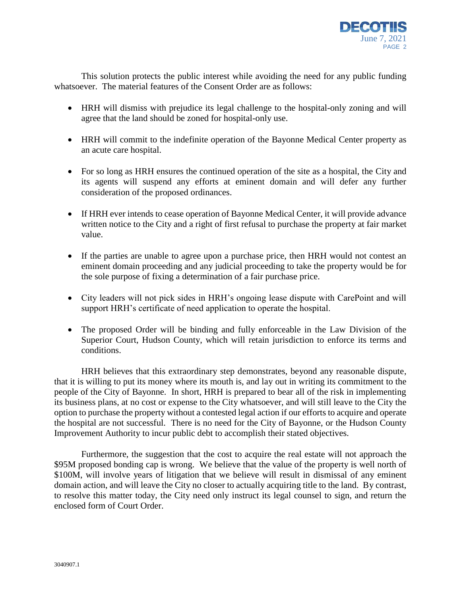

This solution protects the public interest while avoiding the need for any public funding whatsoever. The material features of the Consent Order are as follows:

- HRH will dismiss with prejudice its legal challenge to the hospital-only zoning and will agree that the land should be zoned for hospital-only use.
- HRH will commit to the indefinite operation of the Bayonne Medical Center property as an acute care hospital.
- For so long as HRH ensures the continued operation of the site as a hospital, the City and its agents will suspend any efforts at eminent domain and will defer any further consideration of the proposed ordinances.
- If HRH ever intends to cease operation of Bayonne Medical Center, it will provide advance written notice to the City and a right of first refusal to purchase the property at fair market value.
- If the parties are unable to agree upon a purchase price, then HRH would not contest an eminent domain proceeding and any judicial proceeding to take the property would be for the sole purpose of fixing a determination of a fair purchase price.
- City leaders will not pick sides in HRH's ongoing lease dispute with CarePoint and will support HRH's certificate of need application to operate the hospital.
- The proposed Order will be binding and fully enforceable in the Law Division of the Superior Court, Hudson County, which will retain jurisdiction to enforce its terms and conditions.

HRH believes that this extraordinary step demonstrates, beyond any reasonable dispute, that it is willing to put its money where its mouth is, and lay out in writing its commitment to the people of the City of Bayonne. In short, HRH is prepared to bear all of the risk in implementing its business plans, at no cost or expense to the City whatsoever, and will still leave to the City the option to purchase the property without a contested legal action if our efforts to acquire and operate the hospital are not successful. There is no need for the City of Bayonne, or the Hudson County Improvement Authority to incur public debt to accomplish their stated objectives.

Furthermore, the suggestion that the cost to acquire the real estate will not approach the \$95M proposed bonding cap is wrong. We believe that the value of the property is well north of \$100M, will involve years of litigation that we believe will result in dismissal of any eminent domain action, and will leave the City no closer to actually acquiring title to the land. By contrast, to resolve this matter today, the City need only instruct its legal counsel to sign, and return the enclosed form of Court Order.